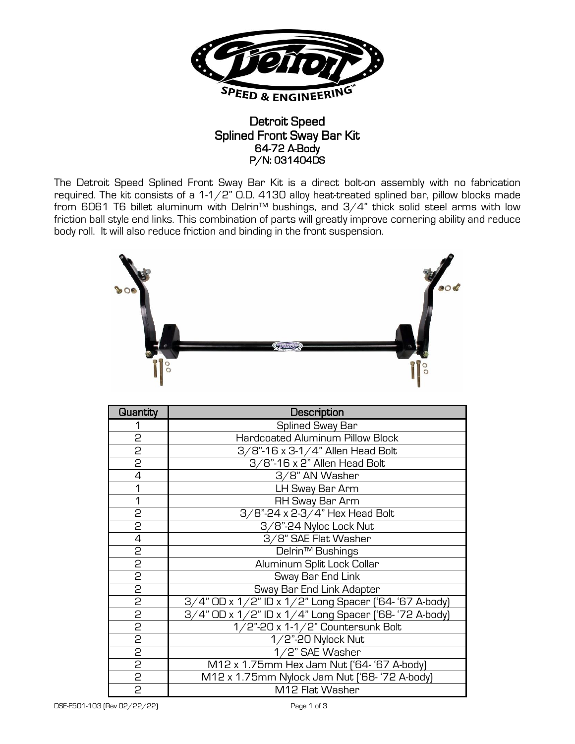

## Detroit Speed Splined Front Sway Bar Kit 64-72 A-Body P/N: 031404DS

The Detroit Speed Splined Front Sway Bar Kit is a direct bolt-on assembly with no fabrication required. The kit consists of a 1-1/2" O.D. 4130 alloy heat-treated splined bar, pillow blocks made from 6061 T6 billet aluminum with Delrin™ bushings, and 3/4" thick solid steel arms with low friction ball style end links. This combination of parts will greatly improve cornering ability and reduce body roll. It will also reduce friction and binding in the front suspension.



| Quantity       | Description                                            |
|----------------|--------------------------------------------------------|
| 1              | Splined Sway Bar                                       |
| 2              | <b>Hardcoated Aluminum Pillow Block</b>                |
| $\overline{c}$ | 3/8"-16 x 3-1/4" Allen Head Bolt                       |
| $\overline{c}$ | 3/8"-16 x 2" Allen Head Bolt                           |
| $\overline{4}$ | 3/8" AN Washer                                         |
| 1              | LH Sway Bar Arm                                        |
| 1              | RH Sway Bar Arm                                        |
| $\overline{2}$ | 3/8"-24 x 2-3/4" Hex Head Bolt                         |
| $\overline{2}$ | 3/8"-24 Nyloc Lock Nut                                 |
| $\overline{4}$ | 3/8" SAE Flat Washer                                   |
| 2              | Delrin <sup>™</sup> Bushings                           |
| $\overline{c}$ | Aluminum Split Lock Collar                             |
| $\overline{c}$ | Sway Bar End Link                                      |
| 2              | Sway Bar End Link Adapter                              |
| 2              | 3/4" OD x 1/2" ID x 1/2" Long Spacer ('64- '67 A-body) |
| $\frac{5}{2}$  | 3/4" OD x 1/2" ID x 1/4" Long Spacer ('68- '72 A-body) |
|                | 1/2"-20 x 1-1/2" Countersunk Bolt                      |
| $\overline{c}$ | $1/2$ "-20 Nylock Nut                                  |
| $\overline{c}$ | 1/2" SAE Washer                                        |
| 2              | M12 x 1.75mm Hex Jam Nut ['64- '67 A-body]             |
| $\overline{c}$ | M12 x 1.75mm Nylock Jam Nut ('68- '72 A-body)          |
| $\overline{2}$ | M12 Flat Washer                                        |

DSE-F501-103 (Rev 02/22/22) Page 1 of 3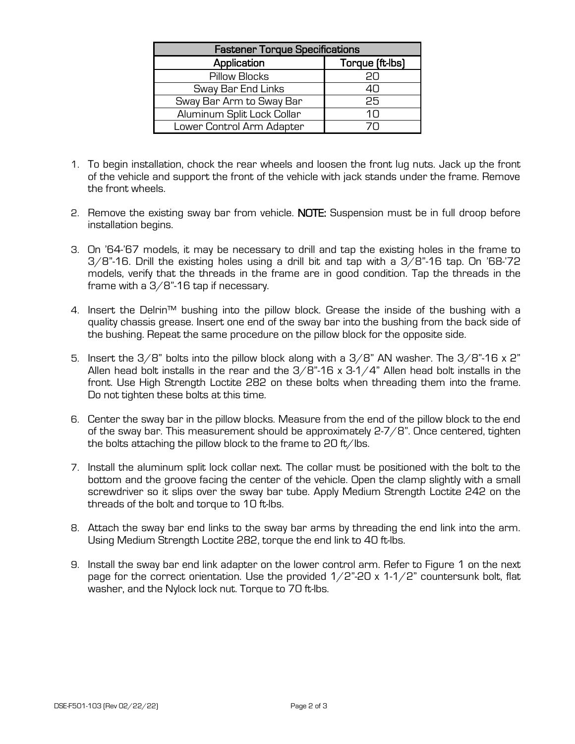| <b>Fastener Torque Specifications</b> |                 |  |
|---------------------------------------|-----------------|--|
| Application                           | Torque (ft-lbs) |  |
| Pillow Blocks                         | 20              |  |
| Sway Bar End Links                    | 4Π              |  |
| Sway Bar Arm to Sway Bar              | 25              |  |
| Aluminum Split Lock Collar            | 1 N             |  |
| Lower Control Arm Adapter             |                 |  |

- 1. To begin installation, chock the rear wheels and loosen the front lug nuts. Jack up the front of the vehicle and support the front of the vehicle with jack stands under the frame. Remove the front wheels.
- 2. Remove the existing sway bar from vehicle. **NOTE:** Suspension must be in full droop before installation begins.
- 3. On '64-'67 models, it may be necessary to drill and tap the existing holes in the frame to  $3/8$ "-16. Drill the existing holes using a drill bit and tap with a  $3/8$ "-16 tap. On '68-'72 models, verify that the threads in the frame are in good condition. Tap the threads in the frame with a 3/8"-16 tap if necessary.
- 4. Insert the Delrin™ bushing into the pillow block. Grease the inside of the bushing with a quality chassis grease. Insert one end of the sway bar into the bushing from the back side of the bushing. Repeat the same procedure on the pillow block for the opposite side.
- 5. Insert the  $3/8$ " bolts into the pillow block along with a  $3/8$ " AN washer. The  $3/8$ "-16 x 2" Allen head bolt installs in the rear and the  $3/8$ "-16 x 3-1/4" Allen head bolt installs in the front. Use High Strength Loctite 282 on these bolts when threading them into the frame. Do not tighten these bolts at this time.
- 6. Center the sway bar in the pillow blocks. Measure from the end of the pillow block to the end of the sway bar. This measurement should be approximately 2-7/8". Once centered, tighten the bolts attaching the pillow block to the frame to 20 ft/lbs.
- 7. Install the aluminum split lock collar next. The collar must be positioned with the bolt to the bottom and the groove facing the center of the vehicle. Open the clamp slightly with a small screwdriver so it slips over the sway bar tube. Apply Medium Strength Loctite 242 on the threads of the bolt and torque to 10 ft-lbs.
- 8. Attach the sway bar end links to the sway bar arms by threading the end link into the arm. Using Medium Strength Loctite 282, torque the end link to 40 ft-lbs.
- 9. Install the sway bar end link adapter on the lower control arm. Refer to Figure 1 on the next page for the correct orientation. Use the provided  $1/2$ "-20 x 1-1/2" countersunk bolt, flat washer, and the Nylock lock nut. Torque to 70 ft-lbs.